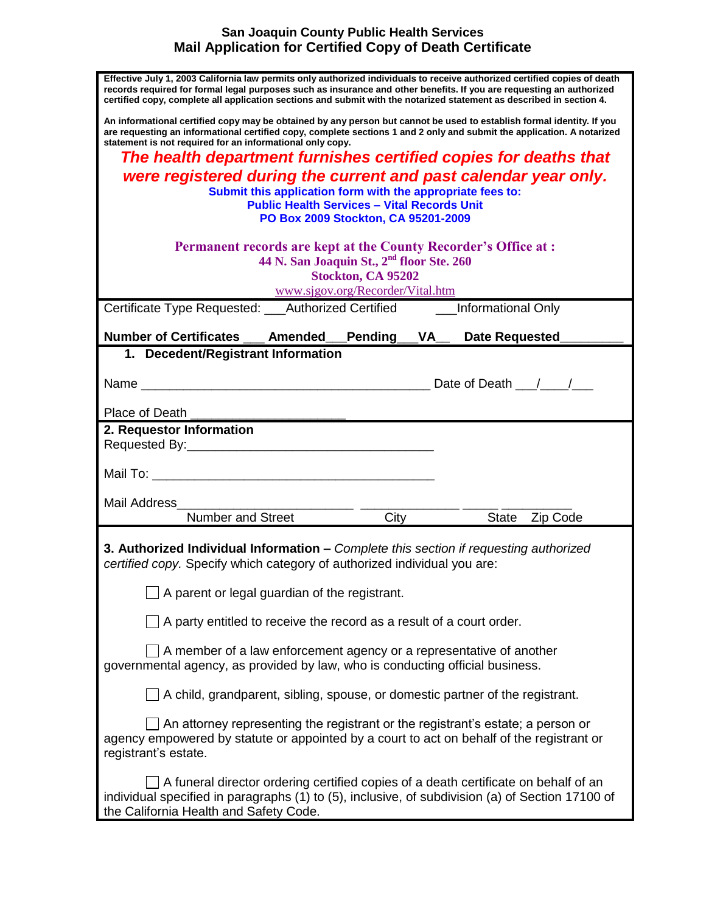## **San Joaquin County Public Health Services Mail Application for Certified Copy of Death Certificate**

| Effective July 1, 2003 California law permits only authorized individuals to receive authorized certified copies of death<br>records required for formal legal purposes such as insurance and other benefits. If you are requesting an authorized<br>certified copy, complete all application sections and submit with the notarized statement as described in section 4. |
|---------------------------------------------------------------------------------------------------------------------------------------------------------------------------------------------------------------------------------------------------------------------------------------------------------------------------------------------------------------------------|
| An informational certified copy may be obtained by any person but cannot be used to establish formal identity. If you<br>are requesting an informational certified copy, complete sections 1 and 2 only and submit the application. A notarized<br>statement is not required for an informational only copy.                                                              |
| The health department furnishes certified copies for deaths that                                                                                                                                                                                                                                                                                                          |
| were registered during the current and past calendar year only.                                                                                                                                                                                                                                                                                                           |
| Submit this application form with the appropriate fees to:                                                                                                                                                                                                                                                                                                                |
| <b>Public Health Services - Vital Records Unit</b><br>PO Box 2009 Stockton, CA 95201-2009                                                                                                                                                                                                                                                                                 |
|                                                                                                                                                                                                                                                                                                                                                                           |
| <b>Permanent records are kept at the County Recorder's Office at:</b>                                                                                                                                                                                                                                                                                                     |
| 44 N. San Joaquin St., 2 <sup>nd</sup> floor Ste. 260                                                                                                                                                                                                                                                                                                                     |
| Stockton, CA 95202                                                                                                                                                                                                                                                                                                                                                        |
| www.sjgov.org/Recorder/Vital.htm                                                                                                                                                                                                                                                                                                                                          |
| Certificate Type Requested: ___Authorized Certified ______Informational Only                                                                                                                                                                                                                                                                                              |
| Number of Certificates __ Amended __ Pending __ VA_ Date Requested                                                                                                                                                                                                                                                                                                        |
| 1. Decedent/Registrant Information                                                                                                                                                                                                                                                                                                                                        |
|                                                                                                                                                                                                                                                                                                                                                                           |
|                                                                                                                                                                                                                                                                                                                                                                           |
| Place of Death                                                                                                                                                                                                                                                                                                                                                            |
| 2. Requestor Information                                                                                                                                                                                                                                                                                                                                                  |
|                                                                                                                                                                                                                                                                                                                                                                           |
|                                                                                                                                                                                                                                                                                                                                                                           |
|                                                                                                                                                                                                                                                                                                                                                                           |
| Mail Address                                                                                                                                                                                                                                                                                                                                                              |
| Number and Street<br>City State Zip Code                                                                                                                                                                                                                                                                                                                                  |
| 3. Authorized Individual Information – Complete this section if requesting authorized<br>certified copy. Specify which category of authorized individual you are:                                                                                                                                                                                                         |
| A parent or legal guardian of the registrant.                                                                                                                                                                                                                                                                                                                             |
| $\Box$ A party entitled to receive the record as a result of a court order.                                                                                                                                                                                                                                                                                               |
| A member of a law enforcement agency or a representative of another<br>governmental agency, as provided by law, who is conducting official business.                                                                                                                                                                                                                      |
| $\Box$ A child, grandparent, sibling, spouse, or domestic partner of the registrant.                                                                                                                                                                                                                                                                                      |
| An attorney representing the registrant or the registrant's estate; a person or<br>agency empowered by statute or appointed by a court to act on behalf of the registrant or<br>registrant's estate.                                                                                                                                                                      |
| $\Box$ A funeral director ordering certified copies of a death certificate on behalf of an<br>individual specified in paragraphs (1) to (5), inclusive, of subdivision (a) of Section 17100 of<br>the California Health and Safety Code.                                                                                                                                  |